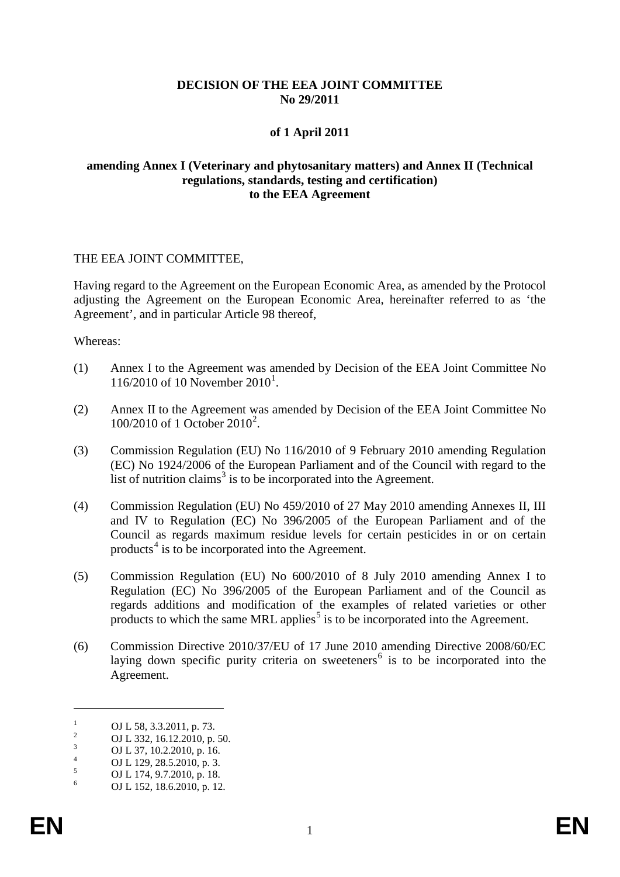## **DECISION OF THE EEA JOINT COMMITTEE No 29/2011**

## **of 1 April 2011**

#### **amending Annex I (Veterinary and phytosanitary matters) and Annex II (Technical regulations, standards, testing and certification) to the EEA Agreement**

#### THE EEA JOINT COMMITTEE,

Having regard to the Agreement on the European Economic Area, as amended by the Protocol adjusting the Agreement on the European Economic Area, hereinafter referred to as 'the Agreement', and in particular Article 98 thereof,

Whereas:

- (1) Annex I to the Agreement was amended by Decision of the EEA Joint Committee No [1](#page-0-0)16/2010 of 10 November 2010<sup>1</sup>.
- (2) Annex II to the Agreement was amended by Decision of the EEA Joint Committee No 100/[2](#page-0-1)010 of 1 October 2010<sup>2</sup>.
- (3) Commission Regulation (EU) No 116/2010 of 9 February 2010 amending Regulation (EC) No 1924/2006 of the European Parliament and of the Council with regard to the list of nutrition claims<sup>[3](#page-0-2)</sup> is to be incorporated into the Agreement.
- (4) Commission Regulation (EU) No 459/2010 of 27 May 2010 amending Annexes II, III and IV to Regulation (EC) No 396/2005 of the European Parliament and of the Council as regards maximum residue levels for certain pesticides in or on certain products $4$  is to be incorporated into the Agreement.
- (5) Commission Regulation (EU) No 600/2010 of 8 July 2010 amending Annex I to Regulation (EC) No 396/2005 of the European Parliament and of the Council as regards additions and modification of the examples of related varieties or other products to which the same MRL applies<sup>[5](#page-0-4)</sup> is to be incorporated into the Agreement.
- (6) Commission Directive 2010/37/EU of 17 June 2010 amending Directive 2008/60/EC laying down specific purity criteria on sweeteners<sup>[6](#page-0-5)</sup> is to be incorporated into the Agreement.

 $\overline{a}$ 

<span id="page-0-1"></span><span id="page-0-0"></span><sup>1</sup> OJ L 58, 3.3.2011, p. 73.<br>
2 OJ L 332, 16.12.2010, p. 50.<br>
3 OJ L 37, 10.2.2010, p. 16.<br>
4 OJ L 129, 28.5.2010, p. 3.<br>
5 OJ L 174, 9.7.2010, p. 18.<br>
6 OJ L 152, 18.6.2010, p. 12.

<span id="page-0-2"></span>

<span id="page-0-3"></span>

<span id="page-0-5"></span><span id="page-0-4"></span>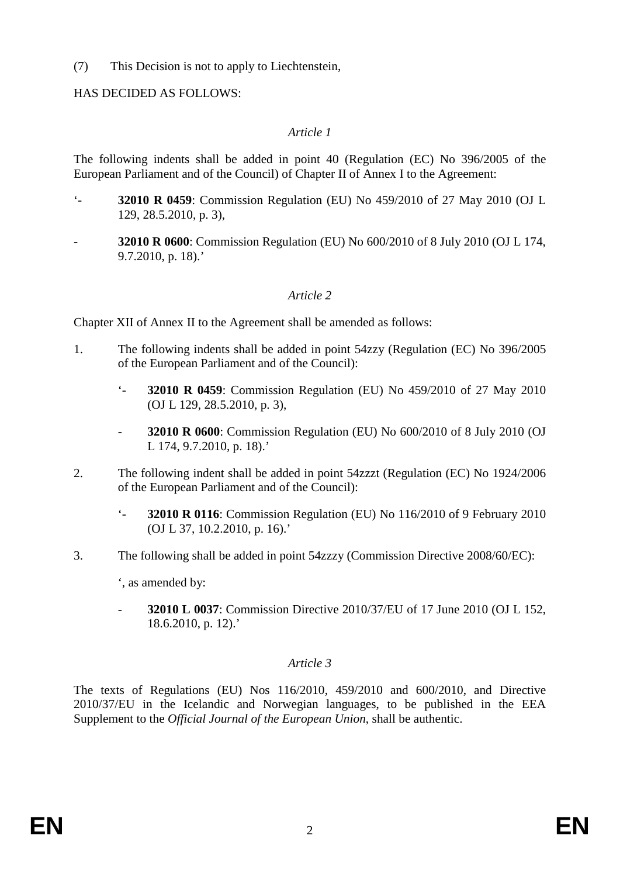(7) This Decision is not to apply to Liechtenstein,

## HAS DECIDED AS FOLLOWS:

## *Article 1*

The following indents shall be added in point 40 (Regulation (EC) No 396/2005 of the European Parliament and of the Council) of Chapter II of Annex I to the Agreement:

- '- **32010 R 0459**: Commission Regulation (EU) No 459/2010 of 27 May 2010 (OJ L 129, 28.5.2010, p. 3),
- **32010 R 0600**: Commission Regulation (EU) No 600/2010 of 8 July 2010 (OJ L 174, 9.7.2010, p. 18).'

# *Article 2*

Chapter XII of Annex II to the Agreement shall be amended as follows:

- 1. The following indents shall be added in point 54zzy (Regulation (EC) No 396/2005 of the European Parliament and of the Council):
	- '- **32010 R 0459**: Commission Regulation (EU) No 459/2010 of 27 May 2010 (OJ L 129, 28.5.2010, p. 3),
	- **32010 R 0600**: Commission Regulation (EU) No 600/2010 of 8 July 2010 (OJ L 174, 9.7.2010, p. 18).'
- 2. The following indent shall be added in point 54zzzt (Regulation (EC) No 1924/2006 of the European Parliament and of the Council):
	- '- **32010 R 0116**: Commission Regulation (EU) No 116/2010 of 9 February 2010 (OJ L 37, 10.2.2010, p. 16).'
- 3. The following shall be added in point 54zzzy (Commission Directive 2008/60/EC):

', as amended by:

- **32010 L 0037**: Commission Directive 2010/37/EU of 17 June 2010 (OJ L 152, 18.6.2010, p. 12).'

## *Article 3*

The texts of Regulations (EU) Nos 116/2010, 459/2010 and 600/2010, and Directive 2010/37/EU in the Icelandic and Norwegian languages, to be published in the EEA Supplement to the *Official Journal of the European Union*, shall be authentic.